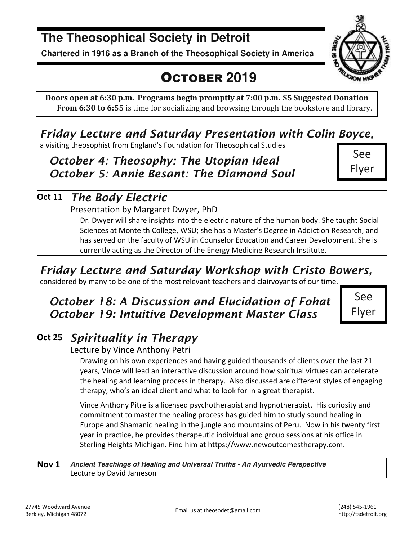# **The Theosophical Society in Detroit**

**Chartered in 1916 as a Branch of the Theosophical Society in America** 

# OCTOBER **2019**

**Doors open at 6:30 p.m. Programs begin promptly at 7:00 p.m. \$5 Suggested Donation From 6:30 to 6:55** is time for socializing and browsing through the bookstore and library.

# *Friday Lecture and Saturday Presentation with Colin Boyce,*

a visiting theosophist from England's Foundation for Theosophical Studies

## *October 4: Theosophy: The Utopian Ideal October 5: Annie Besant: The Diamond Soul*

See Flyer

# **Oct 11** *The Body Electric*

#### Presentation by Margaret Dwyer, PhD

Dr. Dwyer will share insights into the electric nature of the human body. She taught Social Sciences at Monteith College, WSU; she has a Master's Degree in Addiction Research, and has served on the faculty of WSU in Counselor Education and Career Development. She is currently acting as the Director of the Energy Medicine Research Institute.

# *Friday Lecture and Saturday Workshop with Cristo Bowers,*

considered by many to be one of the most relevant teachers and clairvoyants of our time.

# *October 18: A Discussion and Elucidation of Fohat October 19: Intuitive Development Master Class*

Flyer

# **Oct 25** *Spirituality in Therapy*

#### Lecture by Vince Anthony Petri

Drawing on his own experiences and having guided thousands of clients over the last 21 years, Vince will lead an interactive discussion around how spiritual virtues can accelerate the healing and learning process in therapy. Also discussed are different styles of engaging therapy, who's an ideal client and what to look for in a great therapist.

Vince Anthony Pitre is a licensed psychotherapist and hypnotherapist. His curiosity and commitment to master the healing process has guided him to study sound healing in Europe and Shamanic healing in the jungle and mountains of Peru. Now in his twenty first year in practice, he provides therapeutic individual and group sessions at his office in Sterling Heights Michigan. Find him at https://www.newoutcomestherapy.com.

**Nov 1 Ancient Teachings of Healing and Universal Truths - An Ayurvedic Perspective**  Lecture by David Jameson